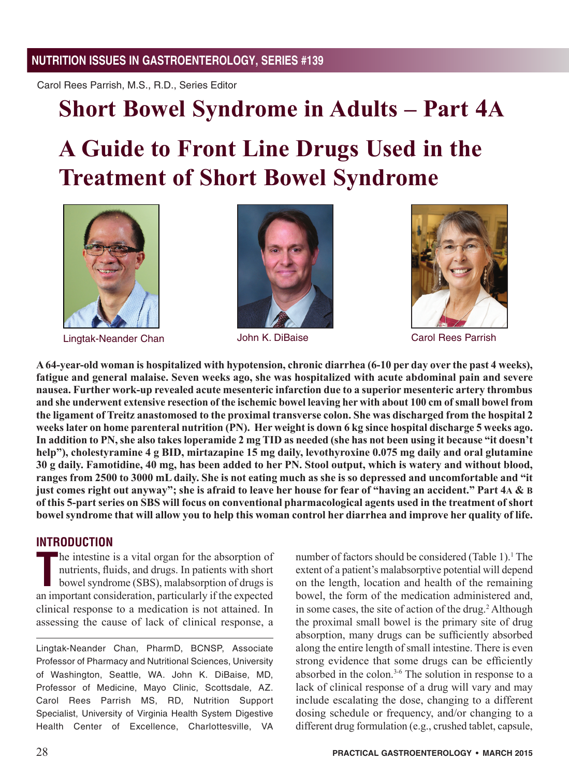Carol Rees Parrish, M.S., R.D., Series Editor

## **Short Bowel Syndrome in Adults – Part 4A**

# **A Guide to Front Line Drugs Used in the Treatment of Short Bowel Syndrome**



Lingtak-Neander Chan





John K. DiBaise Carol Rees Parrish

**A 64-year-old woman is hospitalized with hypotension, chronic diarrhea (6-10 per day over the past 4 weeks), fatigue and general malaise. Seven weeks ago, she was hospitalized with acute abdominal pain and severe nausea. Further work-up revealed acute mesenteric infarction due to a superior mesenteric artery thrombus and she underwent extensive resection of the ischemic bowel leaving her with about 100 cm of small bowel from the ligament of Treitz anastomosed to the proximal transverse colon. She was discharged from the hospital 2 weeks later on home parenteral nutrition (PN). Her weight is down 6 kg since hospital discharge 5 weeks ago. In addition to PN, she also takes loperamide 2 mg TID as needed (she has not been using it because "it doesn't help"), cholestyramine 4 g BID, mirtazapine 15 mg daily, levothyroxine 0.075 mg daily and oral glutamine 30 g daily. Famotidine, 40 mg, has been added to her PN. Stool output, which is watery and without blood, ranges from 2500 to 3000 mL daily. She is not eating much as she is so depressed and uncomfortable and "it just comes right out anyway"; she is afraid to leave her house for fear of "having an accident." Part 4A & B of this 5-part series on SBS will focus on conventional pharmacological agents used in the treatment of short bowel syndrome that will allow you to help this woman control her diarrhea and improve her quality of life.**

#### **INTRODUCTION**

The intestine is a vital organ for the absorption of nutrients, fluids, and drugs. In patients with short bowel syndrome (SBS), malabsorption of drugs is an important consideration, particularly if the expected he intestine is a vital organ for the absorption of nutrients, fluids, and drugs. In patients with short bowel syndrome (SBS), malabsorption of drugs is clinical response to a medication is not attained. In assessing the cause of lack of clinical response, a

Lingtak-Neander Chan, PharmD, BCNSP, Associate Professor of Pharmacy and Nutritional Sciences, University of Washington, Seattle, WA. John K. DiBaise, MD, Professor of Medicine, Mayo Clinic, Scottsdale, AZ. Carol Rees Parrish MS, RD, Nutrition Support Specialist, University of Virginia Health System Digestive Health Center of Excellence, Charlottesville, VA

number of factors should be considered (Table 1).<sup>1</sup> The extent of a patient's malabsorptive potential will depend on the length, location and health of the remaining bowel, the form of the medication administered and, in some cases, the site of action of the drug.<sup>2</sup> Although the proximal small bowel is the primary site of drug absorption, many drugs can be sufficiently absorbed along the entire length of small intestine. There is even strong evidence that some drugs can be efficiently absorbed in the colon.<sup>3-6</sup> The solution in response to a lack of clinical response of a drug will vary and may include escalating the dose, changing to a different dosing schedule or frequency, and/or changing to a different drug formulation (e.g., crushed tablet, capsule,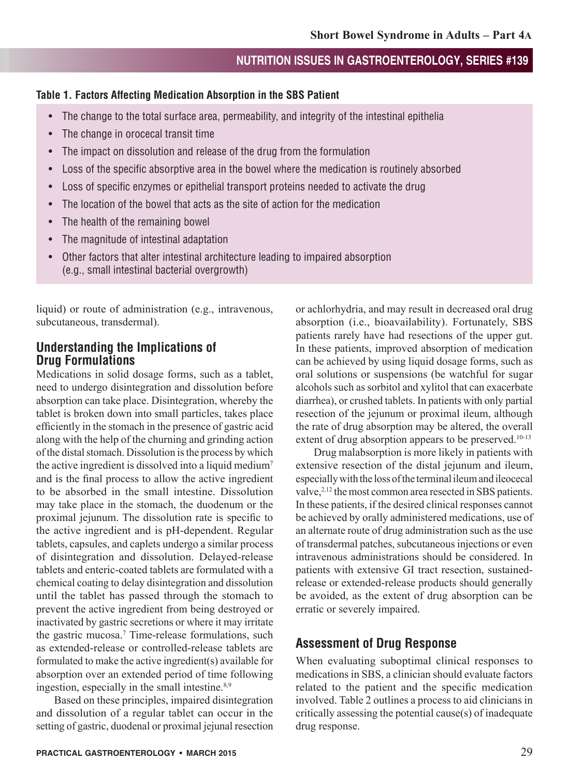#### **Table 1. Factors Affecting Medication Absorption in the SBS Patient**

- The change to the total surface area, permeability, and integrity of the intestinal epithelia
- The change in orocecal transit time
- The impact on dissolution and release of the drug from the formulation
- Loss of the specific absorptive area in the bowel where the medication is routinely absorbed
- Loss of specific enzymes or epithelial transport proteins needed to activate the drug
- The location of the bowel that acts as the site of action for the medication
- The health of the remaining bowel
- The magnitude of intestinal adaptation
- Other factors that alter intestinal architecture leading to impaired absorption (e.g., small intestinal bacterial overgrowth)

liquid) or route of administration (e.g., intravenous, subcutaneous, transdermal).

## **Understanding the Implications of Drug Formulations**

Medications in solid dosage forms, such as a tablet, need to undergo disintegration and dissolution before absorption can take place. Disintegration, whereby the tablet is broken down into small particles, takes place efficiently in the stomach in the presence of gastric acid along with the help of the churning and grinding action of the distal stomach. Dissolution is the process by which the active ingredient is dissolved into a liquid medium<sup>7</sup> and is the final process to allow the active ingredient to be absorbed in the small intestine. Dissolution may take place in the stomach, the duodenum or the proximal jejunum. The dissolution rate is specific to the active ingredient and is pH-dependent. Regular tablets, capsules, and caplets undergo a similar process of disintegration and dissolution. Delayed-release tablets and enteric-coated tablets are formulated with a chemical coating to delay disintegration and dissolution until the tablet has passed through the stomach to prevent the active ingredient from being destroyed or inactivated by gastric secretions or where it may irritate the gastric mucosa.<sup>7</sup> Time-release formulations, such as extended-release or controlled-release tablets are formulated to make the active ingredient(s) available for absorption over an extended period of time following ingestion, especially in the small intestine.<sup>8,9</sup>

Based on these principles, impaired disintegration and dissolution of a regular tablet can occur in the setting of gastric, duodenal or proximal jejunal resection

or achlorhydria, and may result in decreased oral drug absorption (i.e., bioavailability). Fortunately, SBS patients rarely have had resections of the upper gut. In these patients, improved absorption of medication can be achieved by using liquid dosage forms, such as oral solutions or suspensions (be watchful for sugar alcohols such as sorbitol and xylitol that can exacerbate diarrhea), or crushed tablets. In patients with only partial resection of the jejunum or proximal ileum, although the rate of drug absorption may be altered, the overall extent of drug absorption appears to be preserved.<sup>10-13</sup>

Drug malabsorption is more likely in patients with extensive resection of the distal jejunum and ileum, especially with the loss of the terminal ileum and ileocecal valve,<sup>2,12</sup> the most common area resected in SBS patients. In these patients, if the desired clinical responses cannot be achieved by orally administered medications, use of an alternate route of drug administration such as the use of transdermal patches, subcutaneous injections or even intravenous administrations should be considered. In patients with extensive GI tract resection, sustainedrelease or extended-release products should generally be avoided, as the extent of drug absorption can be erratic or severely impaired.

## **Assessment of Drug Response**

When evaluating suboptimal clinical responses to medications in SBS, a clinician should evaluate factors related to the patient and the specific medication involved. Table 2 outlines a process to aid clinicians in critically assessing the potential cause(s) of inadequate drug response.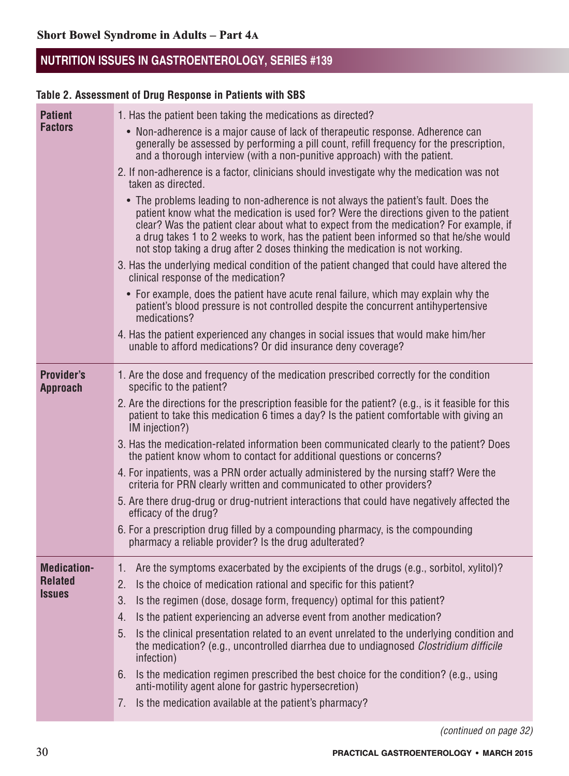## **Table 2. Assessment of Drug Response in Patients with SBS**

| <b>Patient</b>                       | 1. Has the patient been taking the medications as directed?                                                                                                                                                                                                                                                                                                                                                                                                                                                                                                         |  |  |  |
|--------------------------------------|---------------------------------------------------------------------------------------------------------------------------------------------------------------------------------------------------------------------------------------------------------------------------------------------------------------------------------------------------------------------------------------------------------------------------------------------------------------------------------------------------------------------------------------------------------------------|--|--|--|
| <b>Factors</b>                       | • Non-adherence is a major cause of lack of therapeutic response. Adherence can<br>generally be assessed by performing a pill count, refill frequency for the prescription,<br>and a thorough interview (with a non-punitive approach) with the patient.                                                                                                                                                                                                                                                                                                            |  |  |  |
|                                      | 2. If non-adherence is a factor, clinicians should investigate why the medication was not<br>taken as directed.<br>• The problems leading to non-adherence is not always the patient's fault. Does the<br>patient know what the medication is used for? Were the directions given to the patient<br>clear? Was the patient clear about what to expect from the medication? For example, if<br>a drug takes 1 to 2 weeks to work, has the patient been informed so that he/she would<br>not stop taking a drug after 2 doses thinking the medication is not working. |  |  |  |
|                                      |                                                                                                                                                                                                                                                                                                                                                                                                                                                                                                                                                                     |  |  |  |
|                                      | 3. Has the underlying medical condition of the patient changed that could have altered the<br>clinical response of the medication?                                                                                                                                                                                                                                                                                                                                                                                                                                  |  |  |  |
|                                      | • For example, does the patient have acute renal failure, which may explain why the<br>patient's blood pressure is not controlled despite the concurrent antihypertensive<br>medications?                                                                                                                                                                                                                                                                                                                                                                           |  |  |  |
|                                      | 4. Has the patient experienced any changes in social issues that would make him/her<br>unable to afford medications? Or did insurance deny coverage?                                                                                                                                                                                                                                                                                                                                                                                                                |  |  |  |
| <b>Provider's</b><br><b>Approach</b> | 1. Are the dose and frequency of the medication prescribed correctly for the condition<br>specific to the patient?                                                                                                                                                                                                                                                                                                                                                                                                                                                  |  |  |  |
|                                      | 2. Are the directions for the prescription feasible for the patient? (e.g., is it feasible for this<br>patient to take this medication 6 times a day? Is the patient comfortable with giving an<br>IM injection?)                                                                                                                                                                                                                                                                                                                                                   |  |  |  |
|                                      | 3. Has the medication-related information been communicated clearly to the patient? Does<br>the patient know whom to contact for additional questions or concerns?                                                                                                                                                                                                                                                                                                                                                                                                  |  |  |  |
|                                      | 4. For inpatients, was a PRN order actually administered by the nursing staff? Were the<br>criteria for PRN clearly written and communicated to other providers?                                                                                                                                                                                                                                                                                                                                                                                                    |  |  |  |
|                                      | 5. Are there drug-drug or drug-nutrient interactions that could have negatively affected the<br>efficacy of the drug?                                                                                                                                                                                                                                                                                                                                                                                                                                               |  |  |  |
|                                      | 6. For a prescription drug filled by a compounding pharmacy, is the compounding<br>pharmacy a reliable provider? Is the drug adulterated?                                                                                                                                                                                                                                                                                                                                                                                                                           |  |  |  |
| <b>Medication-</b>                   | Are the symptoms exacerbated by the excipients of the drugs (e.g., sorbitol, xylitol)?<br>1.                                                                                                                                                                                                                                                                                                                                                                                                                                                                        |  |  |  |
| <b>Related</b><br><b>Issues</b>      | Is the choice of medication rational and specific for this patient?<br>2.                                                                                                                                                                                                                                                                                                                                                                                                                                                                                           |  |  |  |
|                                      | Is the regimen (dose, dosage form, frequency) optimal for this patient?<br>3.                                                                                                                                                                                                                                                                                                                                                                                                                                                                                       |  |  |  |
|                                      | Is the patient experiencing an adverse event from another medication?<br>4.<br>Is the clinical presentation related to an event unrelated to the underlying condition and<br>5.                                                                                                                                                                                                                                                                                                                                                                                     |  |  |  |
|                                      | the medication? (e.g., uncontrolled diarrhea due to undiagnosed Clostridium difficile<br>infection)                                                                                                                                                                                                                                                                                                                                                                                                                                                                 |  |  |  |
|                                      | Is the medication regimen prescribed the best choice for the condition? (e.g., using<br>6.<br>anti-motility agent alone for gastric hypersecretion)                                                                                                                                                                                                                                                                                                                                                                                                                 |  |  |  |
|                                      | Is the medication available at the patient's pharmacy?<br>7.                                                                                                                                                                                                                                                                                                                                                                                                                                                                                                        |  |  |  |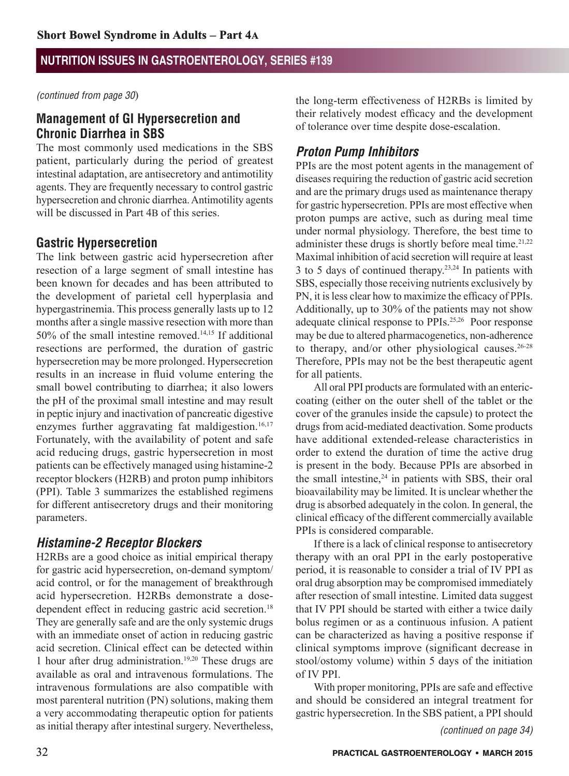*(continued from page 30*)

#### **Management of GI Hypersecretion and Chronic Diarrhea in SBS**

The most commonly used medications in the SBS patient, particularly during the period of greatest intestinal adaptation, are antisecretory and antimotility agents. They are frequently necessary to control gastric hypersecretion and chronic diarrhea. Antimotility agents will be discussed in Part 4B of this series.

## **Gastric Hypersecretion**

The link between gastric acid hypersecretion after resection of a large segment of small intestine has been known for decades and has been attributed to the development of parietal cell hyperplasia and hypergastrinemia. This process generally lasts up to 12 months after a single massive resection with more than 50% of the small intestine removed.14,15 If additional resections are performed, the duration of gastric hypersecretion may be more prolonged. Hypersecretion results in an increase in fluid volume entering the small bowel contributing to diarrhea; it also lowers the pH of the proximal small intestine and may result in peptic injury and inactivation of pancreatic digestive enzymes further aggravating fat maldigestion.<sup>16,17</sup> Fortunately, with the availability of potent and safe acid reducing drugs, gastric hypersecretion in most patients can be effectively managed using histamine-2 receptor blockers (H2RB) and proton pump inhibitors (PPI). Table 3 summarizes the established regimens for different antisecretory drugs and their monitoring parameters.

## *Histamine-2 Receptor Blockers*

H2RBs are a good choice as initial empirical therapy for gastric acid hypersecretion, on-demand symptom/ acid control, or for the management of breakthrough acid hypersecretion. H2RBs demonstrate a dosedependent effect in reducing gastric acid secretion.<sup>18</sup> They are generally safe and are the only systemic drugs with an immediate onset of action in reducing gastric acid secretion. Clinical effect can be detected within 1 hour after drug administration.19,20 These drugs are available as oral and intravenous formulations. The intravenous formulations are also compatible with most parenteral nutrition (PN) solutions, making them a very accommodating therapeutic option for patients as initial therapy after intestinal surgery. Nevertheless, the long-term effectiveness of H2RBs is limited by their relatively modest efficacy and the development of tolerance over time despite dose-escalation.

## *Proton Pump Inhibitors*

PPIs are the most potent agents in the management of diseases requiring the reduction of gastric acid secretion and are the primary drugs used as maintenance therapy for gastric hypersecretion. PPIs are most effective when proton pumps are active, such as during meal time under normal physiology. Therefore, the best time to administer these drugs is shortly before meal time.<sup>21,22</sup> Maximal inhibition of acid secretion will require at least 3 to 5 days of continued therapy. $23,24$  In patients with SBS, especially those receiving nutrients exclusively by PN, it is less clear how to maximize the efficacy of PPIs. Additionally, up to 30% of the patients may not show adequate clinical response to PPIs.25,26 Poor response may be due to altered pharmacogenetics, non-adherence to therapy, and/or other physiological causes. $26-28$ Therefore, PPIs may not be the best therapeutic agent for all patients.

All oral PPI products are formulated with an entericcoating (either on the outer shell of the tablet or the cover of the granules inside the capsule) to protect the drugs from acid-mediated deactivation. Some products have additional extended-release characteristics in order to extend the duration of time the active drug is present in the body. Because PPIs are absorbed in the small intestine, $24$  in patients with SBS, their oral bioavailability may be limited. It is unclear whether the drug is absorbed adequately in the colon. In general, the clinical efficacy of the different commercially available PPIs is considered comparable.

If there is a lack of clinical response to antisecretory therapy with an oral PPI in the early postoperative period, it is reasonable to consider a trial of IV PPI as oral drug absorption may be compromised immediately after resection of small intestine. Limited data suggest that IV PPI should be started with either a twice daily bolus regimen or as a continuous infusion. A patient can be characterized as having a positive response if clinical symptoms improve (significant decrease in stool/ostomy volume) within 5 days of the initiation of IV PPI.

With proper monitoring, PPIs are safe and effective and should be considered an integral treatment for gastric hypersecretion. In the SBS patient, a PPI should

*(continued on page 34)*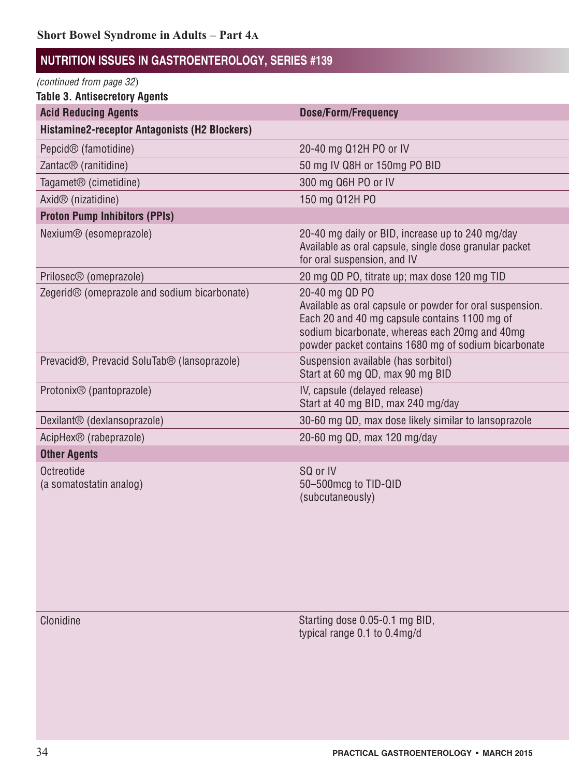| (continued from page 32)                                 |                                                                                                                                                                                                                                       |
|----------------------------------------------------------|---------------------------------------------------------------------------------------------------------------------------------------------------------------------------------------------------------------------------------------|
| <b>Table 3. Antisecretory Agents</b>                     |                                                                                                                                                                                                                                       |
| <b>Acid Reducing Agents</b>                              | <b>Dose/Form/Frequency</b>                                                                                                                                                                                                            |
| Histamine2-receptor Antagonists (H2 Blockers)            |                                                                                                                                                                                                                                       |
| Pepcid <sup>®</sup> (famotidine)                         | 20-40 mg Q12H PO or IV                                                                                                                                                                                                                |
| Zantac <sup>®</sup> (ranitidine)                         | 50 mg IV Q8H or 150mg PO BID                                                                                                                                                                                                          |
| Tagamet <sup>®</sup> (cimetidine)                        | 300 mg Q6H PO or IV                                                                                                                                                                                                                   |
| Axid <sup>®</sup> (nizatidine)                           | 150 mg Q12H PO                                                                                                                                                                                                                        |
| <b>Proton Pump Inhibitors (PPIs)</b>                     |                                                                                                                                                                                                                                       |
| Nexium <sup>®</sup> (esomeprazole)                       | 20-40 mg daily or BID, increase up to 240 mg/day<br>Available as oral capsule, single dose granular packet<br>for oral suspension, and IV                                                                                             |
| Prilosec <sup>®</sup> (omeprazole)                       | 20 mg QD PO, titrate up; max dose 120 mg TID                                                                                                                                                                                          |
| Zegerid <sup>®</sup> (omeprazole and sodium bicarbonate) | 20-40 mg QD PO<br>Available as oral capsule or powder for oral suspension.<br>Each 20 and 40 mg capsule contains 1100 mg of<br>sodium bicarbonate, whereas each 20mg and 40mg<br>powder packet contains 1680 mg of sodium bicarbonate |
| Prevacid®, Prevacid SoluTab® (lansoprazole)              | Suspension available (has sorbitol)<br>Start at 60 mg QD, max 90 mg BID                                                                                                                                                               |
| Protonix <sup>®</sup> (pantoprazole)                     | IV, capsule (delayed release)<br>Start at 40 mg BID, max 240 mg/day                                                                                                                                                                   |
| Dexilant <sup>®</sup> (dexlansoprazole)                  | 30-60 mg QD, max dose likely similar to lansoprazole                                                                                                                                                                                  |
| AcipHex <sup>®</sup> (rabeprazole)                       | 20-60 mg QD, max 120 mg/day                                                                                                                                                                                                           |
| <b>Other Agents</b>                                      |                                                                                                                                                                                                                                       |
| Octreotide<br>(a somatostatin analog)                    | SQ or IV<br>50-500mcg to TID-QID<br>(subcutaneously)                                                                                                                                                                                  |

Clonidine • Starting dose 0.05-0.1 mg BID, and those with secretory opiate anti-diarrheals and those with secretory to opiate anti-diarrheals and the contractory to opiate anti-diarrheals and the contractory of the contrac typical range 0.1 to 0.4mg/d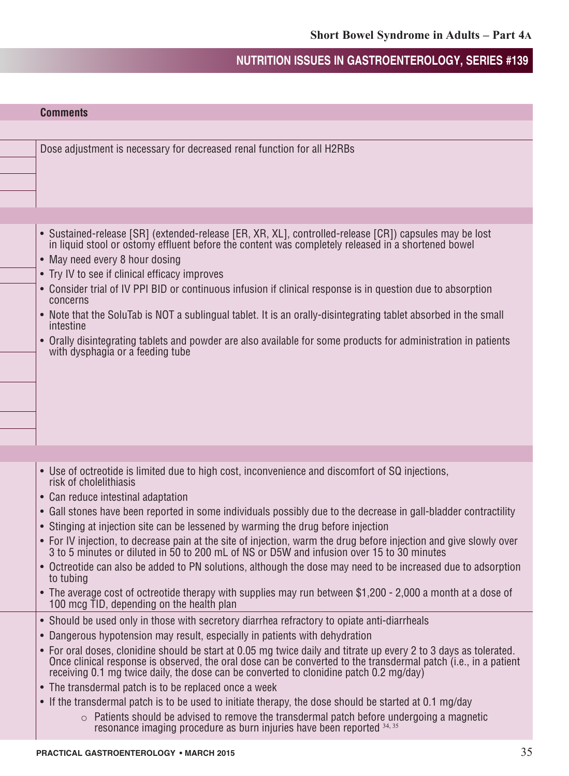| <b>Comments</b>                                                                                                                                                                                                                                                                                                                                                                                                                                                                                                                                                                                                                                                                                               |
|---------------------------------------------------------------------------------------------------------------------------------------------------------------------------------------------------------------------------------------------------------------------------------------------------------------------------------------------------------------------------------------------------------------------------------------------------------------------------------------------------------------------------------------------------------------------------------------------------------------------------------------------------------------------------------------------------------------|
|                                                                                                                                                                                                                                                                                                                                                                                                                                                                                                                                                                                                                                                                                                               |
| Dose adjustment is necessary for decreased renal function for all H2RBs                                                                                                                                                                                                                                                                                                                                                                                                                                                                                                                                                                                                                                       |
|                                                                                                                                                                                                                                                                                                                                                                                                                                                                                                                                                                                                                                                                                                               |
|                                                                                                                                                                                                                                                                                                                                                                                                                                                                                                                                                                                                                                                                                                               |
|                                                                                                                                                                                                                                                                                                                                                                                                                                                                                                                                                                                                                                                                                                               |
|                                                                                                                                                                                                                                                                                                                                                                                                                                                                                                                                                                                                                                                                                                               |
| • Sustained-release [SR] (extended-release [ER, XR, XL], controlled-release [CR]) capsules may be lost in liquid stool or ostomy effluent before the content was completely released in a shortened bowel<br>• May need every 8 hour dosing<br>• Try IV to see if clinical efficacy improves<br>• Consider trial of IV PPI BID or continuous infusion if clinical response is in question due to absorption<br>concerns<br>• Note that the SoluTab is NOT a sublingual tablet. It is an orally-disintegrating tablet absorbed in the small<br>intestine<br>• Orally disintegrating tablets and powder are also available for some products for administration in patients<br>with dysphagia or a feeding tube |
|                                                                                                                                                                                                                                                                                                                                                                                                                                                                                                                                                                                                                                                                                                               |
| • Use of octreotide is limited due to high cost, inconvenience and discomfort of SQ injections,                                                                                                                                                                                                                                                                                                                                                                                                                                                                                                                                                                                                               |
| risk of cholelithiasis                                                                                                                                                                                                                                                                                                                                                                                                                                                                                                                                                                                                                                                                                        |
| • Can reduce intestinal adaptation                                                                                                                                                                                                                                                                                                                                                                                                                                                                                                                                                                                                                                                                            |
| • Gall stones have been reported in some individuals possibly due to the decrease in gall-bladder contractility                                                                                                                                                                                                                                                                                                                                                                                                                                                                                                                                                                                               |
| • Stinging at injection site can be lessened by warming the drug before injection                                                                                                                                                                                                                                                                                                                                                                                                                                                                                                                                                                                                                             |
| • For IV injection, to decrease pain at the site of injection, warm the drug before injection and give slowly over<br>3 to 5 minutes or diluted in 50 to 200 mL of NS or D5W and infusion over 15 to 30 minutes                                                                                                                                                                                                                                                                                                                                                                                                                                                                                               |
| • Octreotide can also be added to PN solutions, although the dose may need to be increased due to adsorption<br>to tubing                                                                                                                                                                                                                                                                                                                                                                                                                                                                                                                                                                                     |
| • The average cost of octreotide therapy with supplies may run between \$1,200 - 2,000 a month at a dose of<br>100 mcg TID, depending on the health plan                                                                                                                                                                                                                                                                                                                                                                                                                                                                                                                                                      |
| • Should be used only in those with secretory diarrhea refractory to opiate anti-diarrheals                                                                                                                                                                                                                                                                                                                                                                                                                                                                                                                                                                                                                   |
| • Dangerous hypotension may result, especially in patients with dehydration                                                                                                                                                                                                                                                                                                                                                                                                                                                                                                                                                                                                                                   |
| • For oral doses, clonidine should be start at 0.05 mg twice daily and titrate up every 2 to 3 days as tolerated.<br>Once clinical response is observed, the oral dose can be converted to the transdermal patch (i.e., in a patient<br>receiving 0.1 mg twice daily, the dose can be converted to clonidine patch 0.2 mg/day)                                                                                                                                                                                                                                                                                                                                                                                |
| • The transdermal patch is to be replaced once a week                                                                                                                                                                                                                                                                                                                                                                                                                                                                                                                                                                                                                                                         |
| • If the transdermal patch is to be used to initiate therapy, the dose should be started at 0.1 mg/day                                                                                                                                                                                                                                                                                                                                                                                                                                                                                                                                                                                                        |
| $\circ$ Patients should be advised to remove the transdermal patch before undergoing a magnetic<br>resonance imaging procedure as burn injuries have been reported 34, 35                                                                                                                                                                                                                                                                                                                                                                                                                                                                                                                                     |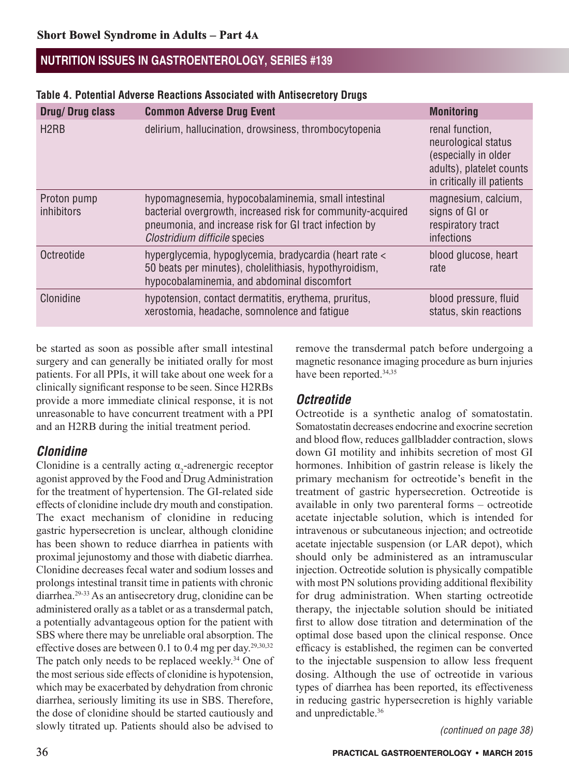#### **Table 4. Potential Adverse Reactions Associated with Antisecretory Drugs**

| Drug/Drug class                  | <b>Common Adverse Drug Event</b>                                                                                                                                                                              | <b>Monitoring</b>                                                                                                        |
|----------------------------------|---------------------------------------------------------------------------------------------------------------------------------------------------------------------------------------------------------------|--------------------------------------------------------------------------------------------------------------------------|
| H <sub>2</sub> RB                | delirium, hallucination, drowsiness, thrombocytopenia                                                                                                                                                         | renal function,<br>neurological status<br>(especially in older<br>adults), platelet counts<br>in critically ill patients |
| Proton pump<br><i>inhibitors</i> | hypomagnesemia, hypocobalaminemia, small intestinal<br>bacterial overgrowth, increased risk for community-acquired<br>pneumonia, and increase risk for GI tract infection by<br>Clostridium difficile species | magnesium, calcium,<br>signs of GI or<br>respiratory tract<br>infections                                                 |
| Octreotide                       | hyperglycemia, hypoglycemia, bradycardia (heart rate <<br>50 beats per minutes), cholelithiasis, hypothyroidism,<br>hypocobalaminemia, and abdominal discomfort                                               | blood glucose, heart<br>rate                                                                                             |
| Clonidine                        | hypotension, contact dermatitis, erythema, pruritus,<br>xerostomia, headache, somnolence and fatigue                                                                                                          | blood pressure, fluid<br>status, skin reactions                                                                          |

be started as soon as possible after small intestinal surgery and can generally be initiated orally for most patients. For all PPIs, it will take about one week for a clinically significant response to be seen. Since H2RBs provide a more immediate clinical response, it is not unreasonable to have concurrent treatment with a PPI and an H2RB during the initial treatment period.

## *Clonidine*

Clonidine is a centrally acting  $\alpha_2$ -adrenergic receptor agonist approved by the Food and Drug Administration for the treatment of hypertension. The GI-related side effects of clonidine include dry mouth and constipation. The exact mechanism of clonidine in reducing gastric hypersecretion is unclear, although clonidine has been shown to reduce diarrhea in patients with proximal jejunostomy and those with diabetic diarrhea. Clonidine decreases fecal water and sodium losses and prolongs intestinal transit time in patients with chronic diarrhea.29-33 As an antisecretory drug, clonidine can be administered orally as a tablet or as a transdermal patch, a potentially advantageous option for the patient with SBS where there may be unreliable oral absorption. The effective doses are between 0.1 to 0.4 mg per day.29,30,32 The patch only needs to be replaced weekly.<sup>34</sup> One of the most serious side effects of clonidine is hypotension, which may be exacerbated by dehydration from chronic diarrhea, seriously limiting its use in SBS. Therefore, the dose of clonidine should be started cautiously and slowly titrated up. Patients should also be advised to

remove the transdermal patch before undergoing a magnetic resonance imaging procedure as burn injuries have been reported.<sup>34,35</sup>

## *Octreotide*

Octreotide is a synthetic analog of somatostatin. Somatostatin decreases endocrine and exocrine secretion and blood flow, reduces gallbladder contraction, slows down GI motility and inhibits secretion of most GI hormones. Inhibition of gastrin release is likely the primary mechanism for octreotide's benefit in the treatment of gastric hypersecretion. Octreotide is available in only two parenteral forms – octreotide acetate injectable solution, which is intended for intravenous or subcutaneous injection; and octreotide acetate injectable suspension (or LAR depot), which should only be administered as an intramuscular injection. Octreotide solution is physically compatible with most PN solutions providing additional flexibility for drug administration. When starting octreotide therapy, the injectable solution should be initiated first to allow dose titration and determination of the optimal dose based upon the clinical response. Once efficacy is established, the regimen can be converted to the injectable suspension to allow less frequent dosing. Although the use of octreotide in various types of diarrhea has been reported, its effectiveness in reducing gastric hypersecretion is highly variable and unpredictable.<sup>36</sup>

*(continued on page 38)*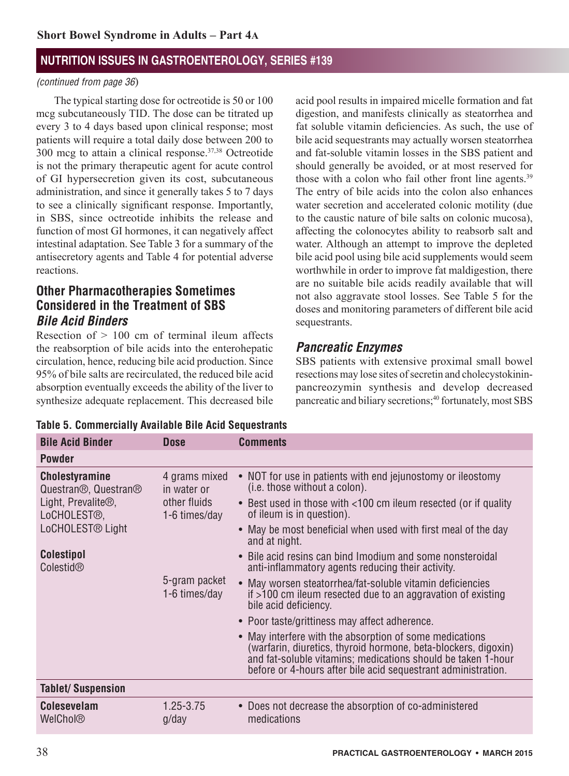#### *(continued from page 36*)

The typical starting dose for octreotide is 50 or 100 mcg subcutaneously TID. The dose can be titrated up every 3 to 4 days based upon clinical response; most patients will require a total daily dose between 200 to  $300$  mcg to attain a clinical response.<sup>37,38</sup> Octreotide is not the primary therapeutic agent for acute control of GI hypersecretion given its cost, subcutaneous administration, and since it generally takes 5 to 7 days to see a clinically significant response. Importantly, in SBS, since octreotide inhibits the release and function of most GI hormones, it can negatively affect intestinal adaptation. See Table 3 for a summary of the antisecretory agents and Table 4 for potential adverse reactions.

## **Other Pharmacotherapies Sometimes Considered in the Treatment of SBS** *Bile Acid Binders*

Resection of  $> 100$  cm of terminal ileum affects the reabsorption of bile acids into the enterohepatic circulation, hence, reducing bile acid production. Since 95% of bile salts are recirculated, the reduced bile acid absorption eventually exceeds the ability of the liver to synthesize adequate replacement. This decreased bile acid pool results in impaired micelle formation and fat digestion, and manifests clinically as steatorrhea and fat soluble vitamin deficiencies. As such, the use of bile acid sequestrants may actually worsen steatorrhea and fat-soluble vitamin losses in the SBS patient and should generally be avoided, or at most reserved for those with a colon who fail other front line agents.<sup>39</sup> The entry of bile acids into the colon also enhances water secretion and accelerated colonic motility (due to the caustic nature of bile salts on colonic mucosa), affecting the colonocytes ability to reabsorb salt and water. Although an attempt to improve the depleted bile acid pool using bile acid supplements would seem worthwhile in order to improve fat maldigestion, there are no suitable bile acids readily available that will not also aggravate stool losses. See Table 5 for the doses and monitoring parameters of different bile acid sequestrants.

## *Pancreatic Enzymes*

SBS patients with extensive proximal small bowel resections may lose sites of secretin and cholecystokininpancreozymin synthesis and develop decreased pancreatic and biliary secretions;<sup>40</sup> fortunately, most SBS

|  | Table 5. Commercially Available Bile Acid Sequestrants |
|--|--------------------------------------------------------|
|--|--------------------------------------------------------|

| <b>Bile Acid Binder</b>                                                | <b>Dose</b>                                                   | <b>Comments</b>                                                                                                                                                                                                                                            |
|------------------------------------------------------------------------|---------------------------------------------------------------|------------------------------------------------------------------------------------------------------------------------------------------------------------------------------------------------------------------------------------------------------------|
| <b>Powder</b>                                                          |                                                               |                                                                                                                                                                                                                                                            |
| <b>Cholestyramine</b><br>Questran <sup>®</sup> , Questran <sup>®</sup> | 4 grams mixed<br>in water or<br>other fluids<br>1-6 times/day | • NOT for use in patients with end jejunostomy or ileostomy<br>(i.e. those without a colon).                                                                                                                                                               |
| Light, Prevalite $\mathcal{D}$ ,<br>LoCHOLEST <sup>®</sup> ,           |                                                               | • Best used in those with <100 cm ileum resected (or if quality<br>of ileum is in question).                                                                                                                                                               |
| LoCHOLEST <sup>®</sup> Light                                           |                                                               | • May be most beneficial when used with first meal of the day<br>and at night.                                                                                                                                                                             |
| <b>Colestipol</b><br>Colestid <sup>®</sup>                             |                                                               | • Bile acid resins can bind Imodium and some nonsteroidal<br>anti-inflammatory agents reducing their activity.                                                                                                                                             |
|                                                                        | 5-gram packet<br>1-6 times/day                                | • May worsen steatorrhea/fat-soluble vitamin deficiencies<br>if >100 cm ileum resected due to an aggravation of existing<br>bile acid deficiency.                                                                                                          |
|                                                                        |                                                               | • Poor taste/grittiness may affect adherence.                                                                                                                                                                                                              |
|                                                                        |                                                               | • May interfere with the absorption of some medications<br>(warfarin, diuretics, thyroid hormone, beta-blockers, digoxin)<br>and fat-soluble vitamins; medications should be taken 1-hour<br>before or 4-hours after bile acid sequestrant administration. |
| <b>Tablet/Suspension</b>                                               |                                                               |                                                                                                                                                                                                                                                            |
| <b>Colesevelam</b><br>WelChol®                                         | 1.25-3.75<br>g/day                                            | • Does not decrease the absorption of co-administered<br>medications                                                                                                                                                                                       |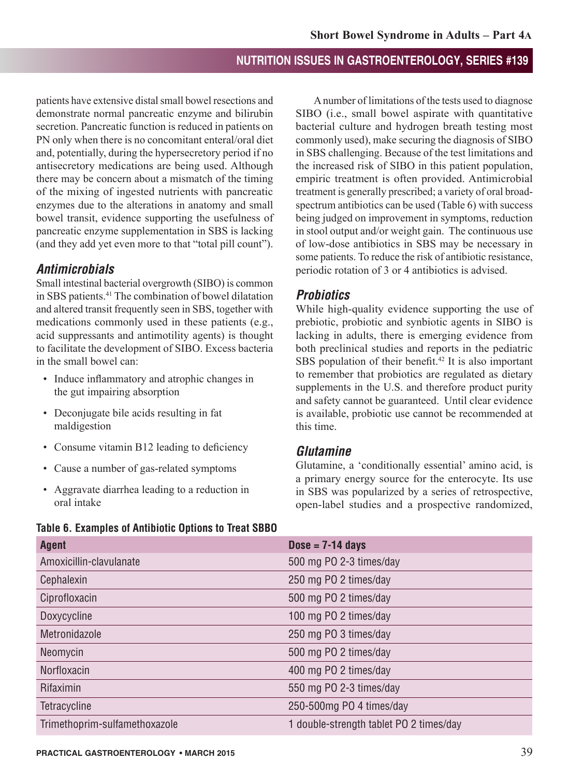patients have extensive distal small bowel resections and demonstrate normal pancreatic enzyme and bilirubin secretion. Pancreatic function is reduced in patients on PN only when there is no concomitant enteral/oral diet and, potentially, during the hypersecretory period if no antisecretory medications are being used. Although there may be concern about a mismatch of the timing of the mixing of ingested nutrients with pancreatic enzymes due to the alterations in anatomy and small bowel transit, evidence supporting the usefulness of pancreatic enzyme supplementation in SBS is lacking (and they add yet even more to that "total pill count").

## *Antimicrobials*

Small intestinal bacterial overgrowth (SIBO) is common in SBS patients.41 The combination of bowel dilatation and altered transit frequently seen in SBS, together with medications commonly used in these patients (e.g., acid suppressants and antimotility agents) is thought to facilitate the development of SIBO. Excess bacteria in the small bowel can:

- Induce inflammatory and atrophic changes in the gut impairing absorption
- Deconjugate bile acids resulting in fat maldigestion
- Consume vitamin B12 leading to deficiency
- Cause a number of gas-related symptoms
- Aggravate diarrhea leading to a reduction in oral intake

## **Table 6. Examples of Antibiotic Options to Treat SBBO**

A number of limitations of the tests used to diagnose SIBO (i.e., small bowel aspirate with quantitative bacterial culture and hydrogen breath testing most commonly used), make securing the diagnosis of SIBO in SBS challenging. Because of the test limitations and the increased risk of SIBO in this patient population, empiric treatment is often provided. Antimicrobial treatment is generally prescribed; a variety of oral broadspectrum antibiotics can be used (Table 6) with success being judged on improvement in symptoms, reduction in stool output and/or weight gain. The continuous use of low-dose antibiotics in SBS may be necessary in some patients. To reduce the risk of antibiotic resistance, periodic rotation of 3 or 4 antibiotics is advised.

## *Probiotics*

While high-quality evidence supporting the use of prebiotic, probiotic and synbiotic agents in SIBO is lacking in adults, there is emerging evidence from both preclinical studies and reports in the pediatric SBS population of their benefit.<sup>42</sup> It is also important to remember that probiotics are regulated as dietary supplements in the U.S. and therefore product purity and safety cannot be guaranteed. Until clear evidence is available, probiotic use cannot be recommended at this time.

#### *Glutamine*

Glutamine, a 'conditionally essential' amino acid, is a primary energy source for the enterocyte. Its use in SBS was popularized by a series of retrospective, open-label studies and a prospective randomized,

| <b>Agent</b>                  | $Dose = 7-14$ days                      |
|-------------------------------|-----------------------------------------|
| Amoxicillin-clavulanate       | 500 mg PO 2-3 times/day                 |
| Cephalexin                    | 250 mg PO 2 times/day                   |
| Ciprofloxacin                 | 500 mg PO 2 times/day                   |
| Doxycycline                   | 100 mg PO 2 times/day                   |
| Metronidazole                 | 250 mg PO 3 times/day                   |
| Neomycin                      | 500 mg PO 2 times/day                   |
| Norfloxacin                   | 400 mg PO 2 times/day                   |
| Rifaximin                     | 550 mg PO 2-3 times/day                 |
| Tetracycline                  | 250-500mg PO 4 times/day                |
| Trimethoprim-sulfamethoxazole | 1 double-strength tablet PO 2 times/day |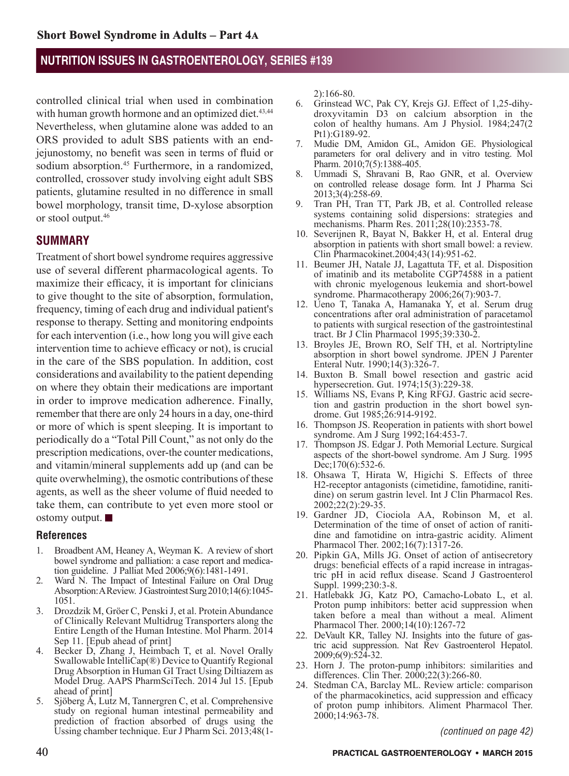controlled clinical trial when used in combination with human growth hormone and an optimized diet.<sup>43,44</sup> Nevertheless, when glutamine alone was added to an ORS provided to adult SBS patients with an endjejunostomy, no benefit was seen in terms of fluid or sodium absorption.<sup>45</sup> Furthermore, in a randomized, controlled, crossover study involving eight adult SBS patients, glutamine resulted in no difference in small bowel morphology, transit time, D-xylose absorption or stool output.46

#### **SUMMARY**

Treatment of short bowel syndrome requires aggressive use of several different pharmacological agents. To maximize their efficacy, it is important for clinicians to give thought to the site of absorption, formulation, frequency, timing of each drug and individual patient's response to therapy. Setting and monitoring endpoints for each intervention (i.e., how long you will give each intervention time to achieve efficacy or not), is crucial in the care of the SBS population. In addition, cost considerations and availability to the patient depending on where they obtain their medications are important in order to improve medication adherence. Finally, remember that there are only 24 hours in a day, one-third or more of which is spent sleeping. It is important to periodically do a "Total Pill Count," as not only do the prescription medications, over-the counter medications, and vitamin/mineral supplements add up (and can be quite overwhelming), the osmotic contributions of these agents, as well as the sheer volume of fluid needed to take them, can contribute to yet even more stool or ostomy output.

#### **References**

- 1. Broadbent AM, Heaney A, Weyman K. A review of short bowel syndrome and palliation: a case report and medication guideline. J Palliat Med 2006;9(6):1481-1491.
- 2. Ward N. The Impact of Intestinal Failure on Oral Drug Absorption: A Review. J Gastrointest Surg 2010;14(6):1045- 1051.
- 3. Drozdzik M, Gröer C, Penski J, et al. Protein Abundance of Clinically Relevant Multidrug Transporters along the Entire Length of the Human Intestine. Mol Pharm. 2014 Sep 11. [Epub ahead of print]
- 4. Becker D, Zhang J, Heimbach T, et al. Novel Orally Swallowable IntelliCap(®) Device to Quantify Regional Drug Absorption in Human GI Tract Using Diltiazem as Model Drug. AAPS PharmSciTech. 2014 Jul 15. [Epub ahead of print]
- 5. Sjöberg Å, Lutz M, Tannergren C, et al. Comprehensive study on regional human intestinal permeability and prediction of fraction absorbed of drugs using the Ussing chamber technique. Eur J Pharm Sci. 2013;48(1-

2):166-80.

- 6. Grinstead WC, Pak CY, Krejs GJ. Effect of 1,25-dihydroxyvitamin D3 on calcium absorption in the colon of healthy humans. Am J Physiol. 1984;247(2 Pt1):G189-92.
- 7. Mudie DM, Amidon GL, Amidon GE. Physiological parameters for oral delivery and in vitro testing. Mol Pharm. 2010;7(5):1388-405.
- 8. Ummadi S, Shravani B, Rao GNR, et al. Overview on controlled release dosage form. Int J Pharma Sci 2013;3(4):258-69.
- 9. Tran PH, Tran TT, Park JB, et al. Controlled release systems containing solid dispersions: strategies and mechanisms. Pharm Res. 2011;28(10):2353-78.
- 10. Severijnen R, Bayat N, Bakker H, et al. Enteral drug absorption in patients with short small bowel: a review. Clin Pharmacokinet.2004;43(14):951-62.
- 11. Beumer JH, Natale JJ, Lagattuta TF, et al. Disposition of imatinib and its metabolite CGP74588 in a patient with chronic myelogenous leukemia and short-bowel syndrome. Pharmacotherapy 2006;26(7):903-7.
- 12. Ueno T, Tanaka A, Hamanaka Y, et al. Serum drug concentrations after oral administration of paracetamol to patients with surgical resection of the gastrointestinal tract. Br J Clin Pharmacol 1995;39:330-2.
- 13. Broyles JE, Brown RO, Self TH, et al. Nortriptyline absorption in short bowel syndrome. JPEN J Parenter Enteral Nutr. 1990;14(3):326-7.
- 14. Buxton B. Small bowel resection and gastric acid hypersecretion. Gut. 1974;15(3):229-38.
- 15. Williams NS, Evans P, King RFGJ. Gastric acid secretion and gastrin production in the short bowel syndrome. Gut 1985;26:914-9192.
- 16. Thompson JS. Reoperation in patients with short bowel syndrome. Am J Surg 1992;164:453-7.
- 17. Thompson JS. Edgar J. Poth Memorial Lecture. Surgical aspects of the short-bowel syndrome. Am J Surg. 1995 Dec;170(6):532-6.
- 18. Ohsawa T, Hirata W, Higichi S. Effects of three H2-receptor antagonists (cimetidine, famotidine, ranitidine) on serum gastrin level. Int J Clin Pharmacol Res. 2002;22(2):29-35.
- 19. Gardner JD, Ciociola AA, Robinson M, et al. Determination of the time of onset of action of ranitidine and famotidine on intra-gastric acidity. Aliment Pharmacol Ther. 2002;16(7):1317-26.
- 20. Pipkin GA, Mills JG. Onset of action of antisecretory drugs: beneficial effects of a rapid increase in intragastric pH in acid reflux disease. Scand J Gastroenterol Suppl. 1999;230:3-8.
- 21. Hatlebakk JG, Katz PO, Camacho-Lobato L, et al. Proton pump inhibitors: better acid suppression when taken before a meal than without a meal. Aliment Pharmacol Ther. 2000;14(10):1267-72
- 22. DeVault KR, Talley NJ. Insights into the future of gastric acid suppression. Nat Rev Gastroenterol Hepatol. 2009;6(9):524-32.
- 23. Horn J. The proton-pump inhibitors: similarities and differences. Clin Ther. 2000;22(3):266-80.
- 24. Stedman CA, Barclay ML. Review article: comparison of the pharmacokinetics, acid suppression and efficacy of proton pump inhibitors. Aliment Pharmacol Ther. 2000;14:963-78.

*(continued on page 42)*